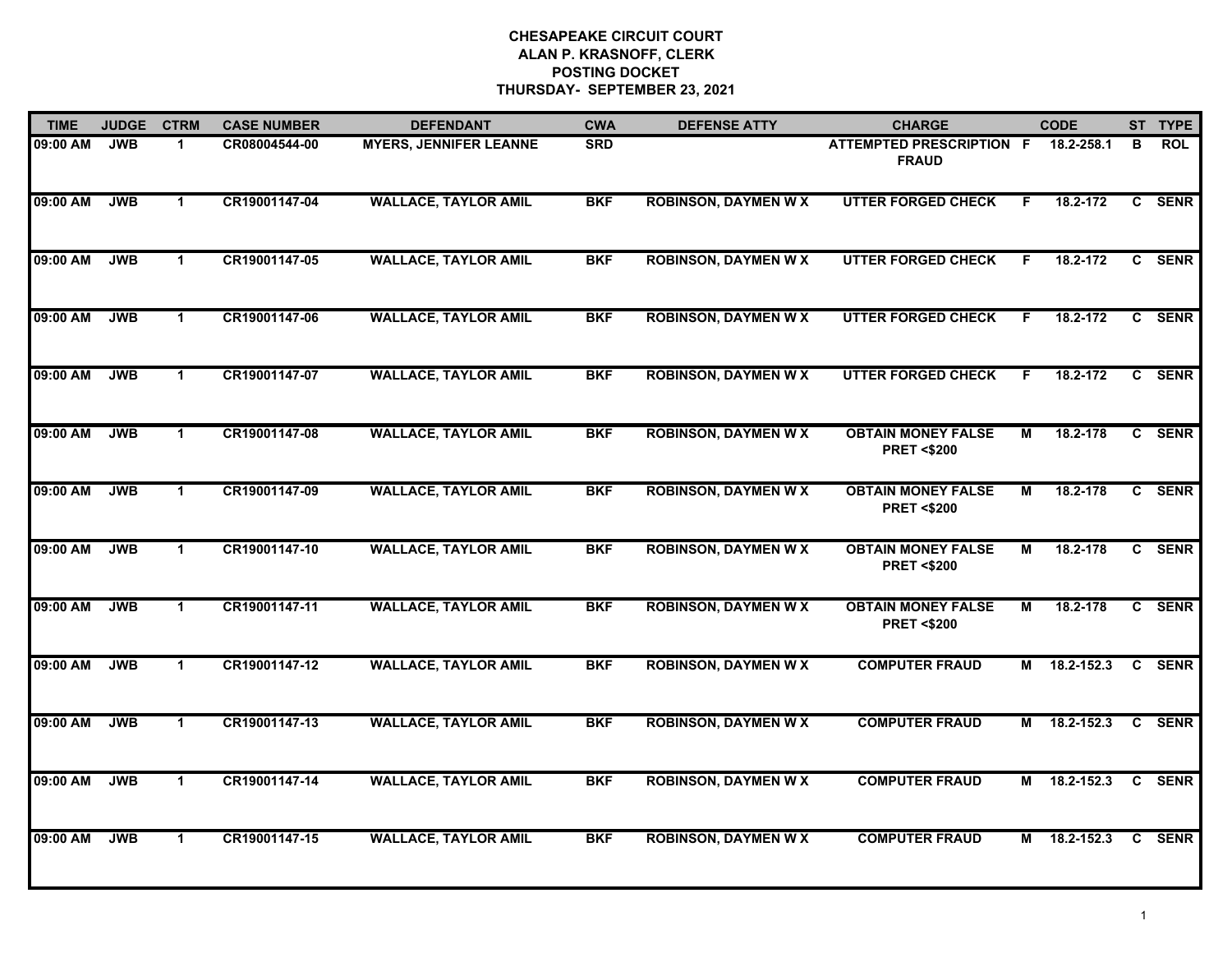| <b>TIME</b> | <b>JUDGE</b> | <b>CTRM</b>  | <b>CASE NUMBER</b> | <b>DEFENDANT</b>              | <b>CWA</b> | <b>DEFENSE ATTY</b>         | <b>CHARGE</b>                                      |    | <b>CODE</b>  |              | ST TYPE     |
|-------------|--------------|--------------|--------------------|-------------------------------|------------|-----------------------------|----------------------------------------------------|----|--------------|--------------|-------------|
| 09:00 AM    | <b>JWB</b>   | 1            | CR08004544-00      | <b>MYERS, JENNIFER LEANNE</b> | <b>SRD</b> |                             | <b>ATTEMPTED PRESCRIPTION F</b><br><b>FRAUD</b>    |    | 18.2-258.1   | в            | <b>ROL</b>  |
| 09:00 AM    | <b>JWB</b>   | $\mathbf 1$  | CR19001147-04      | <b>WALLACE, TAYLOR AMIL</b>   | <b>BKF</b> | <b>ROBINSON, DAYMEN W X</b> | <b>UTTER FORGED CHECK</b>                          | F. | 18.2-172     |              | C SENR      |
| 09:00 AM    | <b>JWB</b>   | 1.           | CR19001147-05      | <b>WALLACE, TAYLOR AMIL</b>   | <b>BKF</b> | <b>ROBINSON, DAYMEN W X</b> | <b>UTTER FORGED CHECK</b>                          | F  | 18.2-172     | C.           | <b>SENR</b> |
| 09:00 AM    | <b>JWB</b>   | $\mathbf 1$  | CR19001147-06      | <b>WALLACE, TAYLOR AMIL</b>   | <b>BKF</b> | <b>ROBINSON, DAYMEN W X</b> | <b>UTTER FORGED CHECK</b>                          | F  | 18.2-172     | C            | <b>SENR</b> |
| 09:00 AM    | <b>JWB</b>   | $\mathbf{1}$ | CR19001147-07      | <b>WALLACE, TAYLOR AMIL</b>   | <b>BKF</b> | <b>ROBINSON, DAYMEN W X</b> | <b>UTTER FORGED CHECK</b>                          | F. | 18.2-172     |              | C SENR      |
| 09:00 AM    | <b>JWB</b>   | $\mathbf{1}$ | CR19001147-08      | <b>WALLACE, TAYLOR AMIL</b>   | <b>BKF</b> | <b>ROBINSON, DAYMEN W X</b> | <b>OBTAIN MONEY FALSE</b><br><b>PRET &lt;\$200</b> | М  | 18.2-178     |              | C SENR      |
| 09:00 AM    | <b>JWB</b>   | $\mathbf 1$  | CR19001147-09      | <b>WALLACE, TAYLOR AMIL</b>   | <b>BKF</b> | <b>ROBINSON, DAYMEN W X</b> | <b>OBTAIN MONEY FALSE</b><br><b>PRET &lt;\$200</b> | М  | 18.2-178     |              | C SENR      |
| 09:00 AM    | <b>JWB</b>   | 1            | CR19001147-10      | <b>WALLACE, TAYLOR AMIL</b>   | <b>BKF</b> | <b>ROBINSON, DAYMEN W X</b> | <b>OBTAIN MONEY FALSE</b><br><b>PRET &lt;\$200</b> | М  | 18.2-178     | C.           | <b>SENR</b> |
| 09:00 AM    | <b>JWB</b>   | $\mathbf{1}$ | CR19001147-11      | <b>WALLACE, TAYLOR AMIL</b>   | <b>BKF</b> | <b>ROBINSON, DAYMEN W X</b> | <b>OBTAIN MONEY FALSE</b><br><b>PRET &lt;\$200</b> | М  | 18.2-178     |              | C SENR      |
| 09:00 AM    | <b>JWB</b>   | $\mathbf{1}$ | CR19001147-12      | <b>WALLACE, TAYLOR AMIL</b>   | <b>BKF</b> | <b>ROBINSON, DAYMEN W X</b> | <b>COMPUTER FRAUD</b>                              |    | M 18.2-152.3 |              | C SENR      |
| 09:00 AM    | <b>JWB</b>   | $\mathbf 1$  | CR19001147-13      | <b>WALLACE, TAYLOR AMIL</b>   | <b>BKF</b> | <b>ROBINSON, DAYMEN W X</b> | <b>COMPUTER FRAUD</b>                              | м  | 18.2-152.3   |              | C SENR      |
| 09:00 AM    | <b>JWB</b>   | $\mathbf{1}$ | CR19001147-14      | <b>WALLACE, TAYLOR AMIL</b>   | <b>BKF</b> | <b>ROBINSON, DAYMEN W X</b> | <b>COMPUTER FRAUD</b>                              | М  | 18.2-152.3   | $\mathbf{c}$ | <b>SENR</b> |
| 09:00 AM    | <b>JWB</b>   | $\mathbf{1}$ | CR19001147-15      | <b>WALLACE, TAYLOR AMIL</b>   | <b>BKF</b> | <b>ROBINSON, DAYMEN W X</b> | <b>COMPUTER FRAUD</b>                              | М  | 18.2-152.3   | C            | <b>SENR</b> |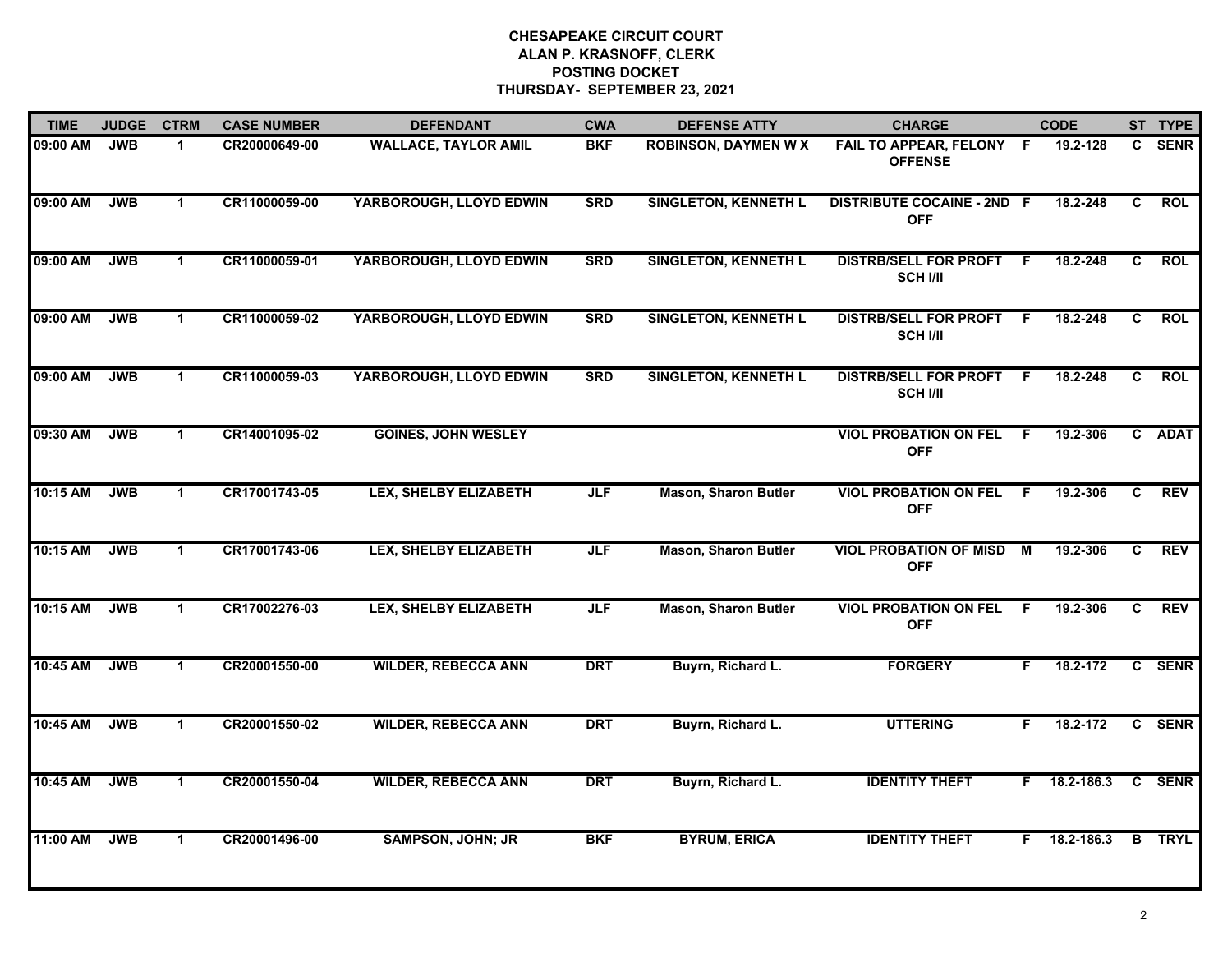| <b>TIME</b> | <b>JUDGE</b> | <b>CTRM</b>  | <b>CASE NUMBER</b> | <b>DEFENDANT</b>             | <b>CWA</b> | <b>DEFENSE ATTY</b>         | <b>CHARGE</b>                                   |     | <b>CODE</b>  |                | ST TYPE       |
|-------------|--------------|--------------|--------------------|------------------------------|------------|-----------------------------|-------------------------------------------------|-----|--------------|----------------|---------------|
| 09:00 AM    | <b>JWB</b>   | $\mathbf 1$  | CR20000649-00      | <b>WALLACE, TAYLOR AMIL</b>  | <b>BKF</b> | <b>ROBINSON, DAYMEN W X</b> | FAIL TO APPEAR, FELONY F<br><b>OFFENSE</b>      |     | 19.2-128     | C.             | <b>SENR</b>   |
| 09:00 AM    | <b>JWB</b>   | $\mathbf 1$  | CR11000059-00      | YARBOROUGH, LLOYD EDWIN      | <b>SRD</b> | <b>SINGLETON, KENNETH L</b> | <b>DISTRIBUTE COCAINE - 2ND F</b><br><b>OFF</b> |     | 18.2-248     | $\overline{c}$ | <b>ROL</b>    |
| 09:00 AM    | <b>JWB</b>   | $\mathbf 1$  | CR11000059-01      | YARBOROUGH, LLOYD EDWIN      | <b>SRD</b> | <b>SINGLETON, KENNETH L</b> | <b>DISTRB/SELL FOR PROFT</b><br><b>SCH I/II</b> | -F  | 18.2-248     | C.             | <b>ROL</b>    |
| 09:00 AM    | <b>JWB</b>   | $\mathbf 1$  | CR11000059-02      | YARBOROUGH, LLOYD EDWIN      | <b>SRD</b> | <b>SINGLETON, KENNETH L</b> | <b>DISTRB/SELL FOR PROFT</b><br><b>SCH I/II</b> | -F  | 18.2-248     | C              | <b>ROL</b>    |
| 09:00 AM    | <b>JWB</b>   | $\mathbf 1$  | CR11000059-03      | YARBOROUGH, LLOYD EDWIN      | <b>SRD</b> | <b>SINGLETON, KENNETH L</b> | <b>DISTRB/SELL FOR PROFT</b><br><b>SCH I/II</b> | F.  | 18.2-248     | C.             | <b>ROL</b>    |
| 09:30 AM    | <b>JWB</b>   | $\mathbf 1$  | CR14001095-02      | <b>GOINES, JOHN WESLEY</b>   |            |                             | <b>VIOL PROBATION ON FEL</b><br><b>OFF</b>      | - F | 19.2-306     |                | C ADAT        |
| 10:15 AM    | <b>JWB</b>   | $\mathbf{1}$ | CR17001743-05      | <b>LEX, SHELBY ELIZABETH</b> | <b>JLF</b> | <b>Mason, Sharon Butler</b> | <b>VIOL PROBATION ON FEL</b><br><b>OFF</b>      | F.  | 19.2-306     | C.             | <b>REV</b>    |
| 10:15 AM    | <b>JWB</b>   | $\mathbf{1}$ | CR17001743-06      | <b>LEX, SHELBY ELIZABETH</b> | <b>JLF</b> | <b>Mason, Sharon Butler</b> | <b>VIOL PROBATION OF MISD</b><br><b>OFF</b>     | M   | 19.2-306     | C              | <b>REV</b>    |
| 10:15 AM    | <b>JWB</b>   | $\mathbf 1$  | CR17002276-03      | <b>LEX, SHELBY ELIZABETH</b> | <b>JLF</b> | <b>Mason, Sharon Butler</b> | <b>VIOL PROBATION ON FEL</b><br><b>OFF</b>      | -F  | 19.2-306     | C.             | <b>REV</b>    |
| 10:45 AM    | <b>JWB</b>   | $\mathbf 1$  | CR20001550-00      | <b>WILDER, REBECCA ANN</b>   | <b>DRT</b> | Buyrn, Richard L.           | <b>FORGERY</b>                                  | F.  | 18.2-172     |                | C SENR        |
| 10:45 AM    | <b>JWB</b>   | $\mathbf 1$  | CR20001550-02      | <b>WILDER, REBECCA ANN</b>   | <b>DRT</b> | Buyrn, Richard L.           | <b>UTTERING</b>                                 | F.  | 18.2-172     |                | C SENR        |
| 10:45 AM    | <b>JWB</b>   | $\mathbf 1$  | CR20001550-04      | <b>WILDER, REBECCA ANN</b>   | <b>DRT</b> | Buyrn, Richard L.           | <b>IDENTITY THEFT</b>                           |     | F 18.2-186.3 | $\mathbf{c}$   | <b>SENR</b>   |
| 11:00 AM    | <b>JWB</b>   | $\mathbf 1$  | CR20001496-00      | <b>SAMPSON, JOHN; JR</b>     | <b>BKF</b> | <b>BYRUM, ERICA</b>         | <b>IDENTITY THEFT</b>                           | F.  | 18.2-186.3   |                | <b>B</b> TRYL |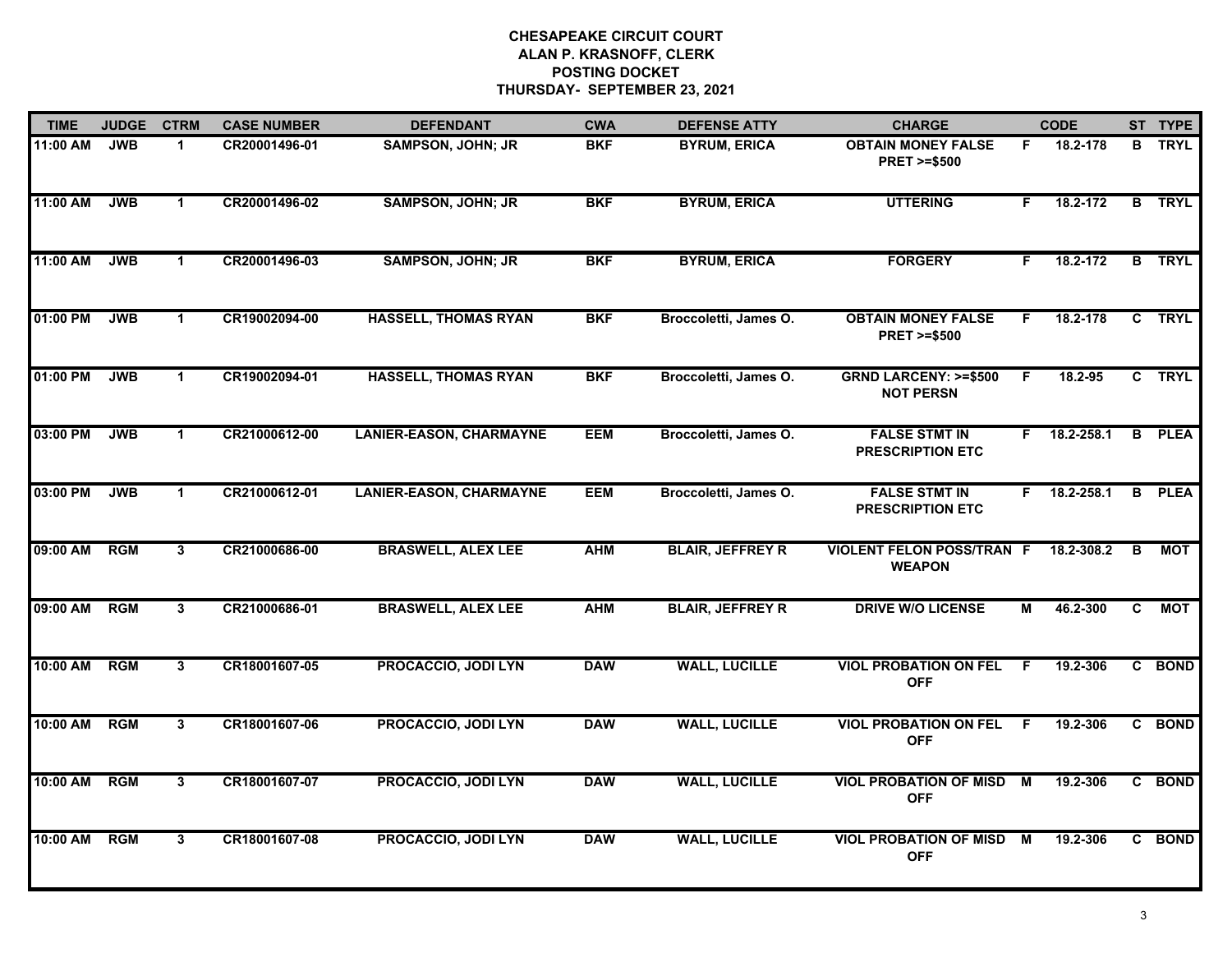| <b>TIME</b> | <b>JUDGE</b> | <b>CTRM</b>             | <b>CASE NUMBER</b> | <b>DEFENDANT</b>               | <b>CWA</b> | <b>DEFENSE ATTY</b>     | <b>CHARGE</b>                                       |                | <b>CODE</b>    |              | ST TYPE       |
|-------------|--------------|-------------------------|--------------------|--------------------------------|------------|-------------------------|-----------------------------------------------------|----------------|----------------|--------------|---------------|
| 11:00 AM    | <b>JWB</b>   | $\mathbf 1$             | CR20001496-01      | <b>SAMPSON, JOHN; JR</b>       | <b>BKF</b> | <b>BYRUM, ERICA</b>     | <b>OBTAIN MONEY FALSE</b><br><b>PRET &gt;=\$500</b> | F.             | 18.2-178       |              | <b>B</b> TRYL |
| 11:00 AM    | <b>JWB</b>   | $\blacktriangleleft$    | CR20001496-02      | <b>SAMPSON, JOHN; JR</b>       | <b>BKF</b> | <b>BYRUM, ERICA</b>     | <b>UTTERING</b>                                     | F.             | 18.2-172       |              | <b>B</b> TRYL |
| 11:00 AM    | <b>JWB</b>   | $\mathbf{1}$            | CR20001496-03      | <b>SAMPSON, JOHN; JR</b>       | <b>BKF</b> | <b>BYRUM, ERICA</b>     | <b>FORGERY</b>                                      | F.             | 18.2-172       |              | <b>B</b> TRYL |
| 01:00 PM    | <b>JWB</b>   | $\blacktriangleleft$    | CR19002094-00      | <b>HASSELL, THOMAS RYAN</b>    | <b>BKF</b> | Broccoletti, James O.   | <b>OBTAIN MONEY FALSE</b><br><b>PRET &gt;=\$500</b> | F.             | 18.2-178       | $\mathbf{c}$ | <b>TRYL</b>   |
| 01:00 PM    | <b>JWB</b>   | $\blacktriangleleft$    | CR19002094-01      | <b>HASSELL, THOMAS RYAN</b>    | <b>BKF</b> | Broccoletti, James O.   | <b>GRND LARCENY: &gt;=\$500</b><br><b>NOT PERSN</b> | F              | 18.2-95        |              | C TRYL        |
| 03:00 PM    | <b>JWB</b>   | $\mathbf 1$             | CR21000612-00      | <b>LANIER-EASON, CHARMAYNE</b> | <b>EEM</b> | Broccoletti, James O.   | <b>FALSE STMT IN</b><br><b>PRESCRIPTION ETC</b>     |                | $F$ 18.2-258.1 |              | <b>B</b> PLEA |
| 03:00 PM    | <b>JWB</b>   | $\blacktriangleleft$    | CR21000612-01      | <b>LANIER-EASON, CHARMAYNE</b> | <b>EEM</b> | Broccoletti, James O.   | <b>FALSE STMT IN</b><br><b>PRESCRIPTION ETC</b>     | F.             | 18.2-258.1     | B            | <b>PLEA</b>   |
| 09:00 AM    | <b>RGM</b>   | $\overline{3}$          | CR21000686-00      | <b>BRASWELL, ALEX LEE</b>      | <b>AHM</b> | <b>BLAIR, JEFFREY R</b> | <b>VIOLENT FELON POSS/TRAN F</b><br><b>WEAPON</b>   |                | 18.2-308.2     | B            | <b>MOT</b>    |
| 09:00 AM    | <b>RGM</b>   | $\mathbf{3}$            | CR21000686-01      | <b>BRASWELL, ALEX LEE</b>      | <b>AHM</b> | <b>BLAIR, JEFFREY R</b> | <b>DRIVE W/O LICENSE</b>                            | М              | 46.2-300       | C.           | MOT           |
| 10:00 AM    | <b>RGM</b>   | $\mathbf{3}$            | CR18001607-05      | <b>PROCACCIO, JODI LYN</b>     | <b>DAW</b> | <b>WALL, LUCILLE</b>    | <b>VIOL PROBATION ON FEL</b><br><b>OFF</b>          | F              | 19.2-306       |              | C BOND        |
| 10:00 AM    | <b>RGM</b>   | $\mathbf{3}$            | CR18001607-06      | <b>PROCACCIO, JODI LYN</b>     | <b>DAW</b> | <b>WALL, LUCILLE</b>    | <b>VIOL PROBATION ON FEL</b><br><b>OFF</b>          | -F             | 19.2-306       |              | C BOND        |
| 10:00 AM    | <b>RGM</b>   | $\overline{\mathbf{3}}$ | CR18001607-07      | <b>PROCACCIO, JODI LYN</b>     | <b>DAW</b> | <b>WALL, LUCILLE</b>    | <b>VIOL PROBATION OF MISD</b><br><b>OFF</b>         | $\blacksquare$ | 19.2-306       | C.           | <b>BOND</b>   |
| 10:00 AM    | RGM          | 3                       | CR18001607-08      | <b>PROCACCIO, JODI LYN</b>     | <b>DAW</b> | <b>WALL, LUCILLE</b>    | <b>VIOL PROBATION OF MISD</b><br><b>OFF</b>         | M              | 19.2-306       |              | C BOND        |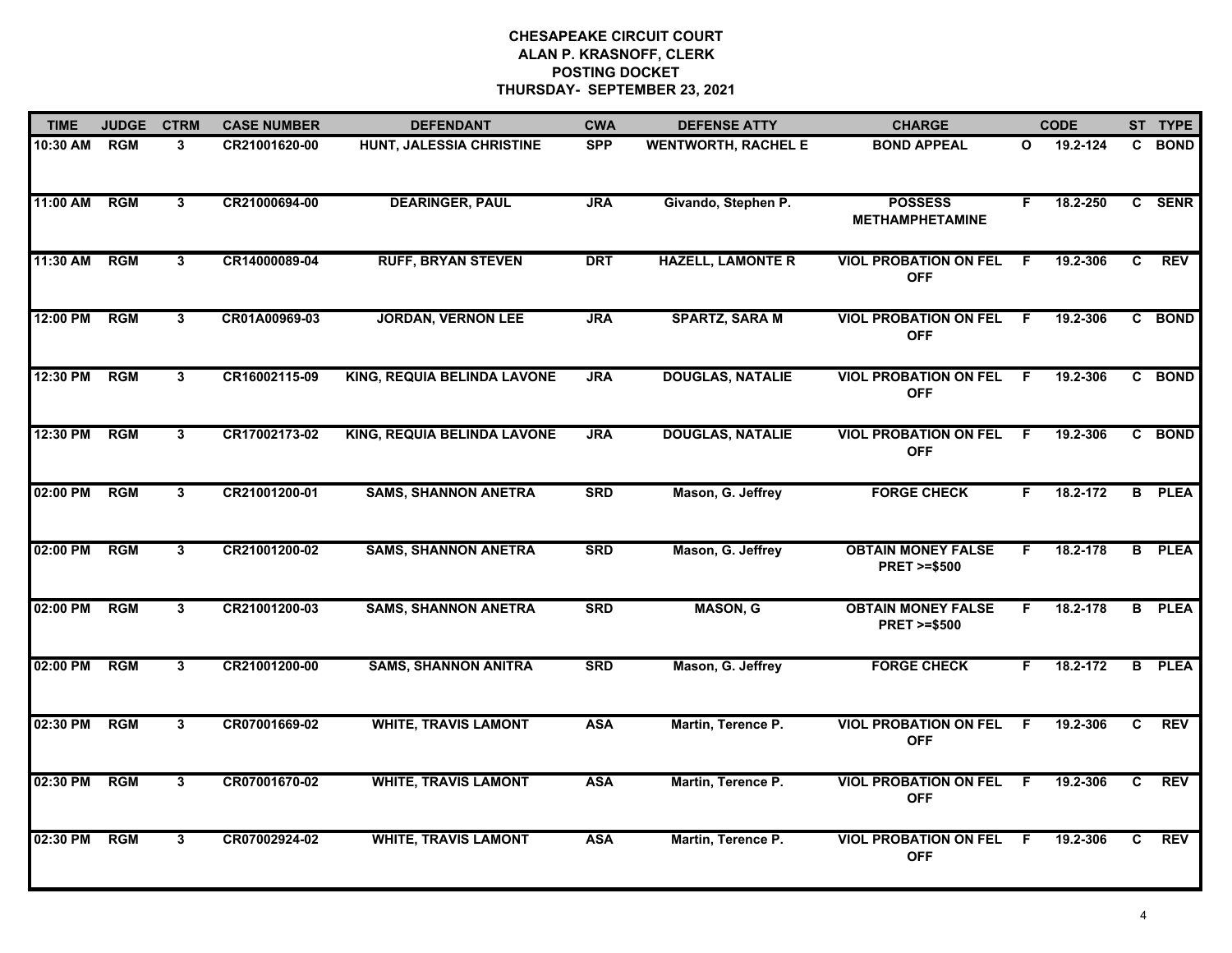| <b>TIME</b> | <b>JUDGE</b> | <b>CTRM</b>             | <b>CASE NUMBER</b> | <b>DEFENDANT</b>            | <b>CWA</b> | <b>DEFENSE ATTY</b>        | <b>CHARGE</b>                                       |                | <b>CODE</b> |                | ST TYPE       |
|-------------|--------------|-------------------------|--------------------|-----------------------------|------------|----------------------------|-----------------------------------------------------|----------------|-------------|----------------|---------------|
| 10:30 AM    | <b>RGM</b>   | $\mathbf{3}$            | CR21001620-00      | HUNT, JALESSIA CHRISTINE    | <b>SPP</b> | <b>WENTWORTH, RACHEL E</b> | <b>BOND APPEAL</b>                                  | $\mathbf{o}$   | 19.2-124    | C              | <b>BOND</b>   |
| 11:00 AM    | <b>RGM</b>   | $3^{\circ}$             | CR21000694-00      | <b>DEARINGER, PAUL</b>      | <b>JRA</b> | Givando, Stephen P.        | <b>POSSESS</b><br><b>METHAMPHETAMINE</b>            | F.             | 18.2-250    |                | C SENR        |
| 11:30 AM    | <b>RGM</b>   | $\overline{3}$          | CR14000089-04      | <b>RUFF, BRYAN STEVEN</b>   | <b>DRT</b> | <b>HAZELL, LAMONTE R</b>   | <b>VIOL PROBATION ON FEL</b><br><b>OFF</b>          | E              | 19.2-306    | C.             | <b>REV</b>    |
| 12:00 PM    | <b>RGM</b>   | 3                       | CR01A00969-03      | <b>JORDAN, VERNON LEE</b>   | <b>JRA</b> | <b>SPARTZ, SARA M</b>      | <b>VIOL PROBATION ON FEL</b><br><b>OFF</b>          | F.             | 19.2-306    |                | C BOND        |
| 12:30 PM    | <b>RGM</b>   | $\mathbf{3}$            | CR16002115-09      | KING, REQUIA BELINDA LAVONE | <b>JRA</b> | <b>DOUGLAS, NATALIE</b>    | <b>VIOL PROBATION ON FEL</b><br><b>OFF</b>          | F.             | 19.2-306    |                | C BOND        |
| 12:30 PM    | <b>RGM</b>   | $\mathbf{3}$            | CR17002173-02      | KING, REQUIA BELINDA LAVONE | <b>JRA</b> | <b>DOUGLAS, NATALIE</b>    | <b>VIOL PROBATION ON FEL</b><br><b>OFF</b>          | -F             | 19.2-306    |                | C BOND        |
| 02:00 PM    | <b>RGM</b>   | 3                       | CR21001200-01      | <b>SAMS, SHANNON ANETRA</b> | <b>SRD</b> | Mason, G. Jeffrey          | <b>FORGE CHECK</b>                                  | F.             | 18.2-172    |                | <b>B</b> PLEA |
| 02:00 PM    | <b>RGM</b>   | $\overline{\mathbf{3}}$ | CR21001200-02      | <b>SAMS, SHANNON ANETRA</b> | <b>SRD</b> | Mason, G. Jeffrey          | <b>OBTAIN MONEY FALSE</b><br><b>PRET &gt;=\$500</b> | F              | 18.2-178    |                | <b>B</b> PLEA |
| 02:00 PM    | <b>RGM</b>   | 3                       | CR21001200-03      | <b>SAMS, SHANNON ANETRA</b> | <b>SRD</b> | <b>MASON, G</b>            | <b>OBTAIN MONEY FALSE</b><br><b>PRET &gt;=\$500</b> | F.             | 18.2-178    | B              | <b>PLEA</b>   |
| 02:00 PM    | <b>RGM</b>   | $\mathbf{3}$            | CR21001200-00      | <b>SAMS, SHANNON ANITRA</b> | <b>SRD</b> | Mason, G. Jeffrey          | <b>FORGE CHECK</b>                                  | F.             | 18.2-172    |                | <b>B</b> PLEA |
| 02:30 PM    | RGM          | $\mathbf{3}$            | CR07001669-02      | <b>WHITE, TRAVIS LAMONT</b> | <b>ASA</b> | Martin, Terence P.         | <b>VIOL PROBATION ON FEL</b><br><b>OFF</b>          | -F             | 19.2-306    | C.             | REV           |
| 02:30 PM    | <b>RGM</b>   | $\overline{\mathbf{3}}$ | CR07001670-02      | <b>WHITE, TRAVIS LAMONT</b> | <b>ASA</b> | Martin, Terence P.         | <b>VIOL PROBATION ON FEL</b><br><b>OFF</b>          | $\overline{F}$ | 19.2-306    | $\overline{c}$ | <b>REV</b>    |
| 02:30 PM    | <b>RGM</b>   | $\mathbf{3}$            | CR07002924-02      | <b>WHITE, TRAVIS LAMONT</b> | <b>ASA</b> | Martin, Terence P.         | <b>VIOL PROBATION ON FEL</b><br><b>OFF</b>          | - F            | 19.2-306    | C.             | <b>REV</b>    |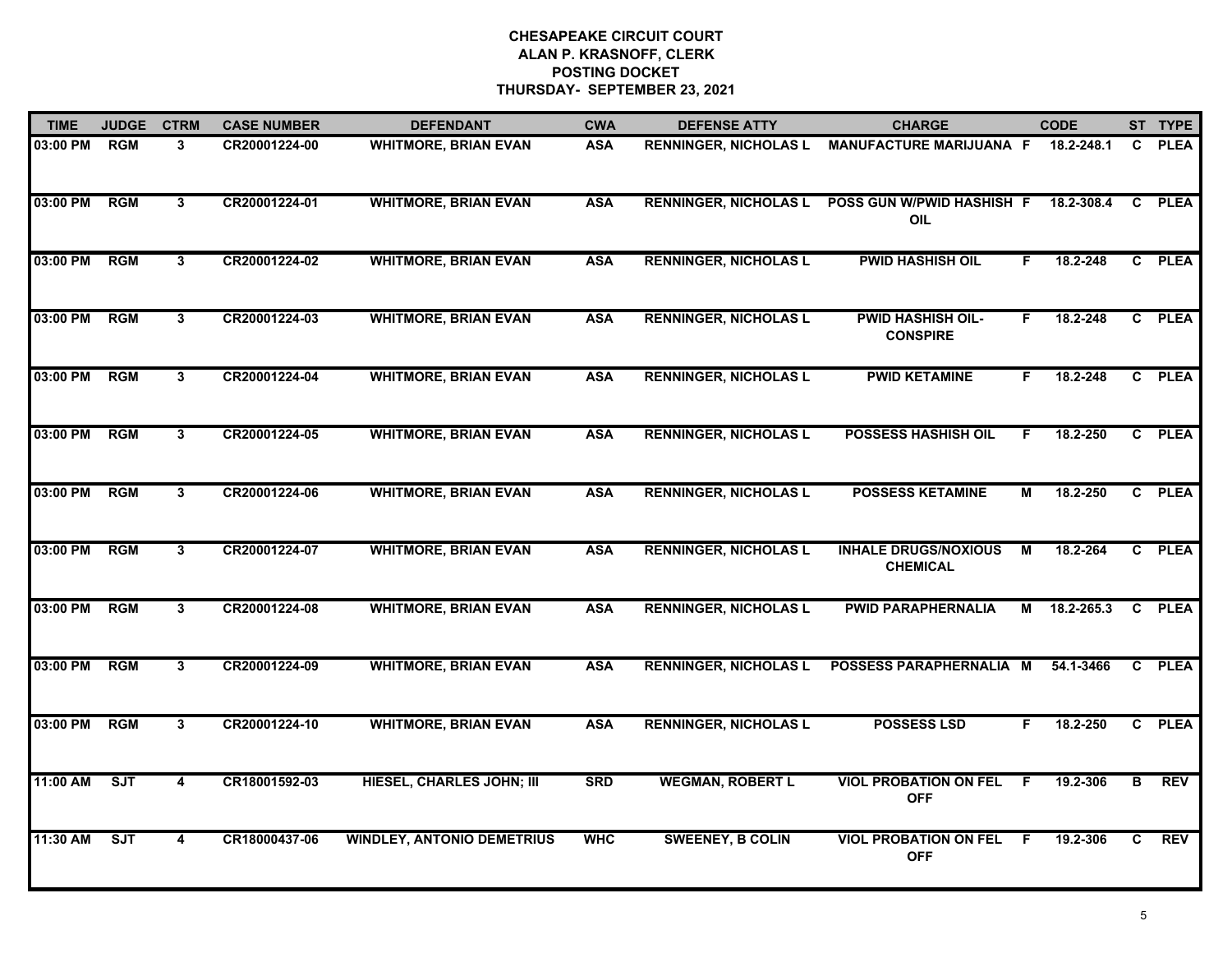| <b>TIME</b> | <b>JUDGE</b> | <b>CTRM</b>  | <b>CASE NUMBER</b> | <b>DEFENDANT</b>                  | <b>CWA</b> | <b>DEFENSE ATTY</b>          | <b>CHARGE</b>                                  |    | <b>CODE</b> |    | ST TYPE     |
|-------------|--------------|--------------|--------------------|-----------------------------------|------------|------------------------------|------------------------------------------------|----|-------------|----|-------------|
| 03:00 PM    | <b>RGM</b>   | 3            | CR20001224-00      | <b>WHITMORE, BRIAN EVAN</b>       | <b>ASA</b> | <b>RENNINGER, NICHOLAS L</b> | <b>MANUFACTURE MARIJUANA F</b>                 |    | 18.2-248.1  | C. | <b>PLEA</b> |
| 03:00 PM    | RGM          | $\mathbf{3}$ | CR20001224-01      | <b>WHITMORE, BRIAN EVAN</b>       | <b>ASA</b> | <b>RENNINGER, NICHOLAS L</b> | POSS GUN W/PWID HASHISH F<br>OIL               |    | 18.2-308.4  | C  | <b>PLEA</b> |
| 03:00 PM    | RGM          | 3            | CR20001224-02      | <b>WHITMORE, BRIAN EVAN</b>       | <b>ASA</b> | <b>RENNINGER, NICHOLAS L</b> | <b>PWID HASHISH OIL</b>                        | F. | 18.2-248    |    | C PLEA      |
| 03:00 PM    | <b>RGM</b>   | 3            | CR20001224-03      | <b>WHITMORE, BRIAN EVAN</b>       | <b>ASA</b> | <b>RENNINGER, NICHOLAS L</b> | <b>PWID HASHISH OIL-</b><br><b>CONSPIRE</b>    | F. | 18.2-248    |    | C PLEA      |
| 03:00 PM    | <b>RGM</b>   | 3            | CR20001224-04      | <b>WHITMORE, BRIAN EVAN</b>       | <b>ASA</b> | <b>RENNINGER, NICHOLAS L</b> | <b>PWID KETAMINE</b>                           | F. | 18.2-248    |    | C PLEA      |
| 03:00 PM    | <b>RGM</b>   | 3            | CR20001224-05      | <b>WHITMORE, BRIAN EVAN</b>       | <b>ASA</b> | <b>RENNINGER, NICHOLAS L</b> | <b>POSSESS HASHISH OIL</b>                     | F. | 18.2-250    |    | C PLEA      |
| 03:00 PM    | <b>RGM</b>   | $\mathbf{3}$ | CR20001224-06      | <b>WHITMORE, BRIAN EVAN</b>       | <b>ASA</b> | <b>RENNINGER, NICHOLAS L</b> | <b>POSSESS KETAMINE</b>                        | М  | 18.2-250    |    | C PLEA      |
| 03:00 PM    | <b>RGM</b>   | 3            | CR20001224-07      | <b>WHITMORE, BRIAN EVAN</b>       | <b>ASA</b> | <b>RENNINGER, NICHOLAS L</b> | <b>INHALE DRUGS/NOXIOUS</b><br><b>CHEMICAL</b> | м  | 18.2-264    |    | C PLEA      |
| 03:00 PM    | <b>RGM</b>   | $\mathbf{3}$ | CR20001224-08      | <b>WHITMORE, BRIAN EVAN</b>       | <b>ASA</b> | <b>RENNINGER, NICHOLAS L</b> | <b>PWID PARAPHERNALIA</b>                      | М  | 18.2-265.3  |    | C PLEA      |
| 03:00 PM    | <b>RGM</b>   | $\mathbf{3}$ | CR20001224-09      | <b>WHITMORE, BRIAN EVAN</b>       | <b>ASA</b> | <b>RENNINGER, NICHOLAS L</b> | POSSESS PARAPHERNALIA M                        |    | 54.1-3466   |    | C PLEA      |
| 03:00 PM    | <b>RGM</b>   | 3            | CR20001224-10      | <b>WHITMORE, BRIAN EVAN</b>       | <b>ASA</b> | <b>RENNINGER, NICHOLAS L</b> | <b>POSSESS LSD</b>                             | F. | 18.2-250    |    | C PLEA      |
| 11:00 AM    | ST           | 4            | CR18001592-03      | <b>HIESEL, CHARLES JOHN; III</b>  | <b>SRD</b> | <b>WEGMAN, ROBERT L</b>      | <b>VIOL PROBATION ON FEL</b><br><b>OFF</b>     | F. | 19.2-306    | в  | <b>REV</b>  |
| 11:30 AM    | <b>SJT</b>   | 4            | CR18000437-06      | <b>WINDLEY, ANTONIO DEMETRIUS</b> | <b>WHC</b> | <b>SWEENEY, B COLIN</b>      | <b>VIOL PROBATION ON FEL</b><br><b>OFF</b>     | E  | 19.2-306    | C. | <b>REV</b>  |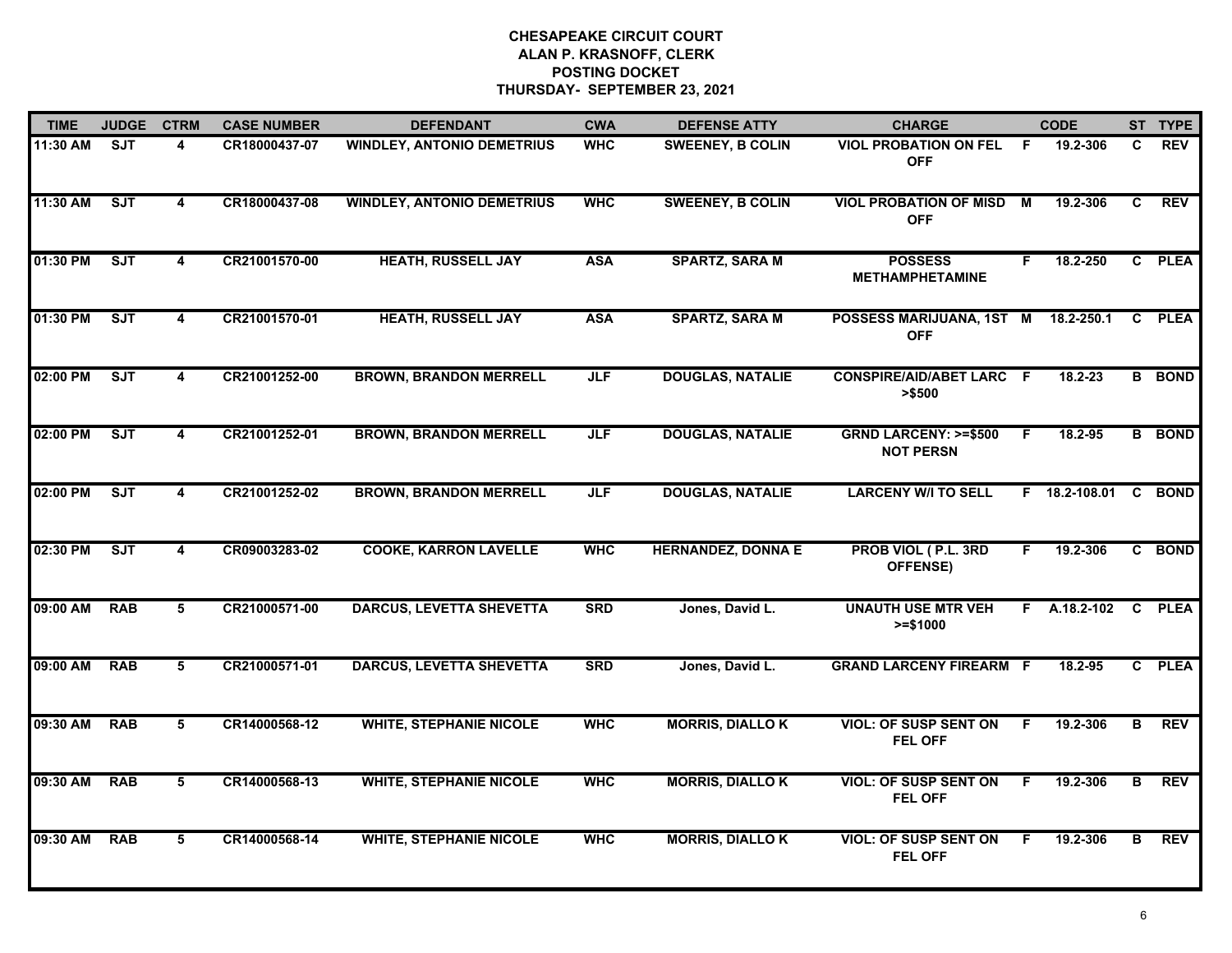| <b>TIME</b> | <b>JUDGE</b> | <b>CTRM</b>             | <b>CASE NUMBER</b> | <b>DEFENDANT</b>                  | <b>CWA</b> | <b>DEFENSE ATTY</b>       | <b>CHARGE</b>                                       |    | <b>CODE</b>     |    | ST TYPE       |
|-------------|--------------|-------------------------|--------------------|-----------------------------------|------------|---------------------------|-----------------------------------------------------|----|-----------------|----|---------------|
| 11:30 AM    | <b>SJT</b>   | $\overline{\mathbf{A}}$ | CR18000437-07      | <b>WINDLEY, ANTONIO DEMETRIUS</b> | <b>WHC</b> | <b>SWEENEY, B COLIN</b>   | <b>VIOL PROBATION ON FEL</b><br><b>OFF</b>          | -F | 19.2-306        | C. | <b>REV</b>    |
| 11:30 AM    | <b>SJT</b>   | $\overline{\mathbf{4}}$ | CR18000437-08      | <b>WINDLEY, ANTONIO DEMETRIUS</b> | <b>WHC</b> | <b>SWEENEY, B COLIN</b>   | <b>VIOL PROBATION OF MISD M</b><br><b>OFF</b>       |    | 19.2-306        | C. | <b>REV</b>    |
| 01:30 PM    | ST           | 4                       | CR21001570-00      | <b>HEATH, RUSSELL JAY</b>         | <b>ASA</b> | <b>SPARTZ, SARA M</b>     | <b>POSSESS</b><br><b>METHAMPHETAMINE</b>            | F. | 18.2-250        |    | C PLEA        |
| 01:30 PM    | SJT          | 4                       | CR21001570-01      | <b>HEATH, RUSSELL JAY</b>         | <b>ASA</b> | <b>SPARTZ, SARA M</b>     | POSSESS MARIJUANA, 1ST M<br><b>OFF</b>              |    | 18.2-250.1      |    | C PLEA        |
| 02:00 PM    | <b>SJT</b>   | 4                       | CR21001252-00      | <b>BROWN, BRANDON MERRELL</b>     | <b>JLF</b> | <b>DOUGLAS, NATALIE</b>   | <b>CONSPIRE/AID/ABET LARC F</b><br>> \$500          |    | $18.2 - 23$     |    | <b>B</b> BOND |
| 02:00 PM    | ST           | $\overline{\mathbf{4}}$ | CR21001252-01      | <b>BROWN, BRANDON MERRELL</b>     | <b>JLF</b> | <b>DOUGLAS, NATALIE</b>   | <b>GRND LARCENY: &gt;=\$500</b><br><b>NOT PERSN</b> | E  | 18.2-95         |    | <b>B</b> BOND |
| 02:00 PM    | ST           | $\overline{\mathbf{4}}$ | CR21001252-02      | <b>BROWN, BRANDON MERRELL</b>     | <b>JLF</b> | <b>DOUGLAS, NATALIE</b>   | <b>LARCENY W/I TO SELL</b>                          |    | F 18.2-108.01 C |    | <b>BOND</b>   |
| 02:30 PM    | <b>SJT</b>   | $\overline{4}$          | CR09003283-02      | <b>COOKE, KARRON LAVELLE</b>      | <b>WHC</b> | <b>HERNANDEZ, DONNA E</b> | PROB VIOL (P.L. 3RD<br>OFFENSE)                     | F  | 19.2-306        |    | C BOND        |
| 09:00 AM    | <b>RAB</b>   | 5                       | CR21000571-00      | <b>DARCUS, LEVETTA SHEVETTA</b>   | <b>SRD</b> | Jones, David L.           | <b>UNAUTH USE MTR VEH</b><br>$>= $1000$             | F. | A.18.2-102      |    | C PLEA        |
| 09:00 AM    | <b>RAB</b>   | 5                       | CR21000571-01      | <b>DARCUS, LEVETTA SHEVETTA</b>   | <b>SRD</b> | Jones, David L.           | <b>GRAND LARCENY FIREARM F</b>                      |    | 18.2-95         |    | C PLEA        |
| 09:30 AM    | <b>RAB</b>   | 5                       | CR14000568-12      | <b>WHITE, STEPHANIE NICOLE</b>    | <b>WHC</b> | <b>MORRIS, DIALLOK</b>    | <b>VIOL: OF SUSP SENT ON</b><br>FEL OFF             | F. | 19.2-306        | B  | <b>REV</b>    |
| 09:30 AM    | <b>RAB</b>   | 5                       | CR14000568-13      | <b>WHITE, STEPHANIE NICOLE</b>    | <b>WHC</b> | <b>MORRIS, DIALLOK</b>    | <b>VIOL: OF SUSP SENT ON</b><br>FEL OFF             | F. | 19.2-306        | в  | <b>REV</b>    |
| 09:30 AM    | <b>RAB</b>   | $\overline{\mathbf{5}}$ | CR14000568-14      | <b>WHITE, STEPHANIE NICOLE</b>    | <b>WHC</b> | <b>MORRIS, DIALLO K</b>   | <b>VIOL: OF SUSP SENT ON</b><br><b>FEL OFF</b>      | F. | 19.2-306        | В  | <b>REV</b>    |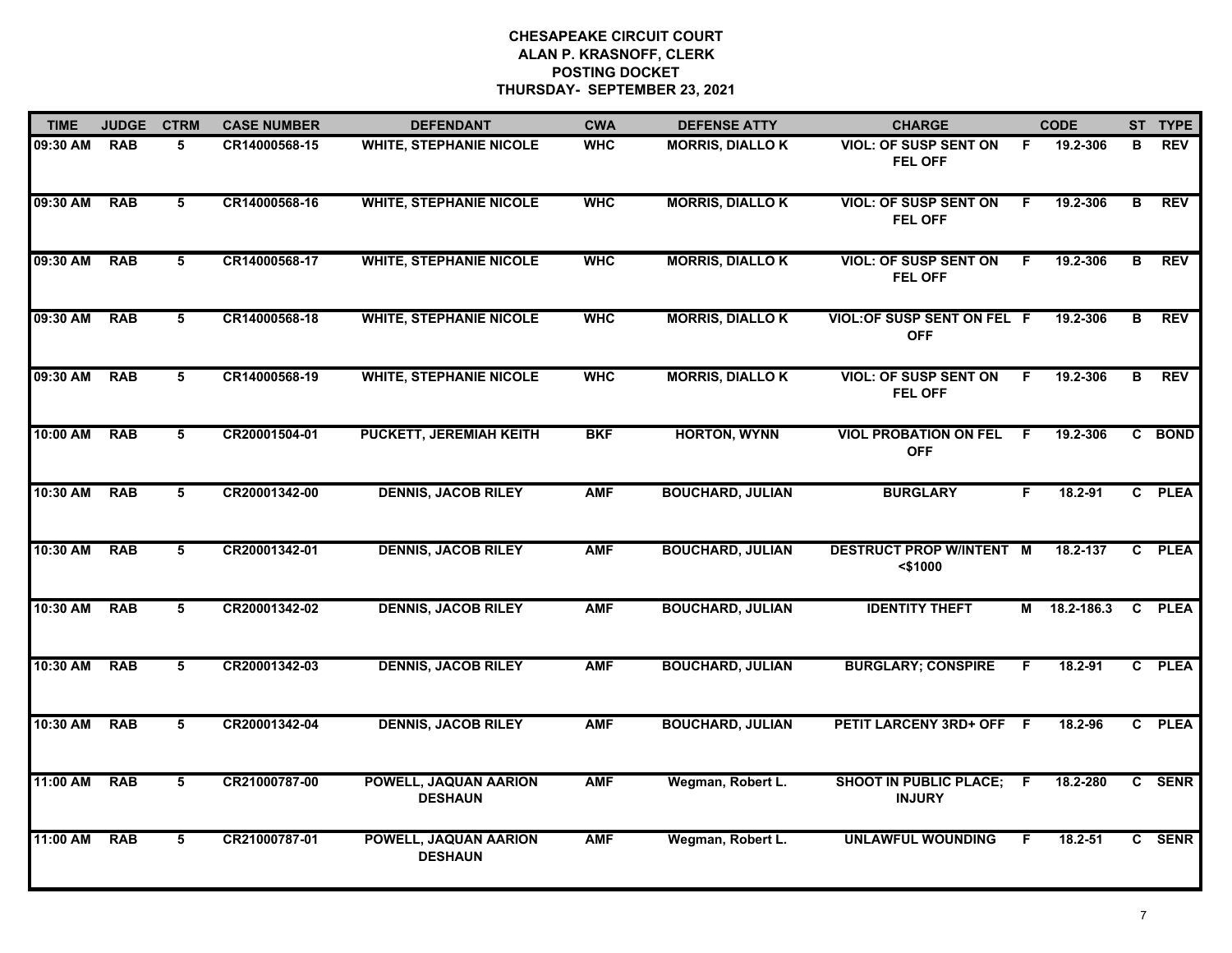| <b>TIME</b> | <b>JUDGE</b> | <b>CTRM</b>     | <b>CASE NUMBER</b> | <b>DEFENDANT</b>                        | <b>CWA</b> | <b>DEFENSE ATTY</b>     | <b>CHARGE</b>                                    |    | <b>CODE</b> |   | ST TYPE    |
|-------------|--------------|-----------------|--------------------|-----------------------------------------|------------|-------------------------|--------------------------------------------------|----|-------------|---|------------|
| 09:30 AM    | <b>RAB</b>   | 5               | CR14000568-15      | <b>WHITE, STEPHANIE NICOLE</b>          | <b>WHC</b> | <b>MORRIS, DIALLOK</b>  | <b>VIOL: OF SUSP SENT ON</b><br>FEL OFF          | F. | 19.2-306    | В | <b>REV</b> |
| 09:30 AM    | <b>RAB</b>   | 5               | CR14000568-16      | <b>WHITE, STEPHANIE NICOLE</b>          | <b>WHC</b> | <b>MORRIS, DIALLOK</b>  | <b>VIOL: OF SUSP SENT ON</b><br>FEL OFF          | F. | 19.2-306    | В | <b>REV</b> |
| 09:30 AM    | <b>RAB</b>   | 5               | CR14000568-17      | <b>WHITE, STEPHANIE NICOLE</b>          | <b>WHC</b> | <b>MORRIS, DIALLOK</b>  | <b>VIOL: OF SUSP SENT ON</b><br>FEL OFF          | F. | 19.2-306    | B | <b>REV</b> |
| 09:30 AM    | <b>RAB</b>   | 5               | CR14000568-18      | <b>WHITE, STEPHANIE NICOLE</b>          | <b>WHC</b> | <b>MORRIS, DIALLOK</b>  | <b>VIOL: OF SUSP SENT ON FEL F</b><br><b>OFF</b> |    | 19.2-306    | В | <b>REV</b> |
| 09:30 AM    | <b>RAB</b>   | 5               | CR14000568-19      | <b>WHITE, STEPHANIE NICOLE</b>          | <b>WHC</b> | <b>MORRIS, DIALLOK</b>  | <b>VIOL: OF SUSP SENT ON</b><br>FEL OFF          | F  | 19.2-306    | B | <b>REV</b> |
| 10:00 AM    | <b>RAB</b>   | 5               | CR20001504-01      | <b>PUCKETT, JEREMIAH KEITH</b>          | <b>BKF</b> | <b>HORTON, WYNN</b>     | <b>VIOL PROBATION ON FEL</b><br><b>OFF</b>       | -F | 19.2-306    |   | C BOND     |
| 10:30 AM    | <b>RAB</b>   | $5\overline{)}$ | CR20001342-00      | <b>DENNIS, JACOB RILEY</b>              | <b>AMF</b> | <b>BOUCHARD, JULIAN</b> | <b>BURGLARY</b>                                  | F. | 18.2-91     |   | C PLEA     |
| 10:30 AM    | <b>RAB</b>   | 5               | CR20001342-01      | <b>DENNIS, JACOB RILEY</b>              | <b>AMF</b> | <b>BOUCHARD, JULIAN</b> | <b>DESTRUCT PROP W/INTENT M</b><br>$<$ \$1000    |    | 18.2-137    |   | C PLEA     |
| 10:30 AM    | <b>RAB</b>   | 5               | CR20001342-02      | <b>DENNIS, JACOB RILEY</b>              | <b>AMF</b> | <b>BOUCHARD, JULIAN</b> | <b>IDENTITY THEFT</b>                            | М  | 18.2-186.3  |   | C PLEA     |
| 10:30 AM    | <b>RAB</b>   | 5               | CR20001342-03      | <b>DENNIS, JACOB RILEY</b>              | <b>AMF</b> | <b>BOUCHARD, JULIAN</b> | <b>BURGLARY; CONSPIRE</b>                        | F. | $18.2 - 91$ |   | C PLEA     |
| 10:30 AM    | <b>RAB</b>   | 5               | CR20001342-04      | <b>DENNIS, JACOB RILEY</b>              | <b>AMF</b> | <b>BOUCHARD, JULIAN</b> | PETIT LARCENY 3RD+ OFF F                         |    | 18.2-96     |   | C PLEA     |
| 11:00 AM    | <b>RAB</b>   | 5               | CR21000787-00      | POWELL, JAQUAN AARION<br><b>DESHAUN</b> | <b>AMF</b> | Wegman, Robert L.       | <b>SHOOT IN PUBLIC PLACE;</b><br><b>INJURY</b>   | -F | 18.2-280    |   | C SENR     |
| 11:00 AM    | <b>RAB</b>   | $5\overline{5}$ | CR21000787-01      | POWELL, JAQUAN AARION<br><b>DESHAUN</b> | <b>AMF</b> | Wegman, Robert L.       | <b>UNLAWFUL WOUNDING</b>                         | F. | 18.2-51     |   | C SENR     |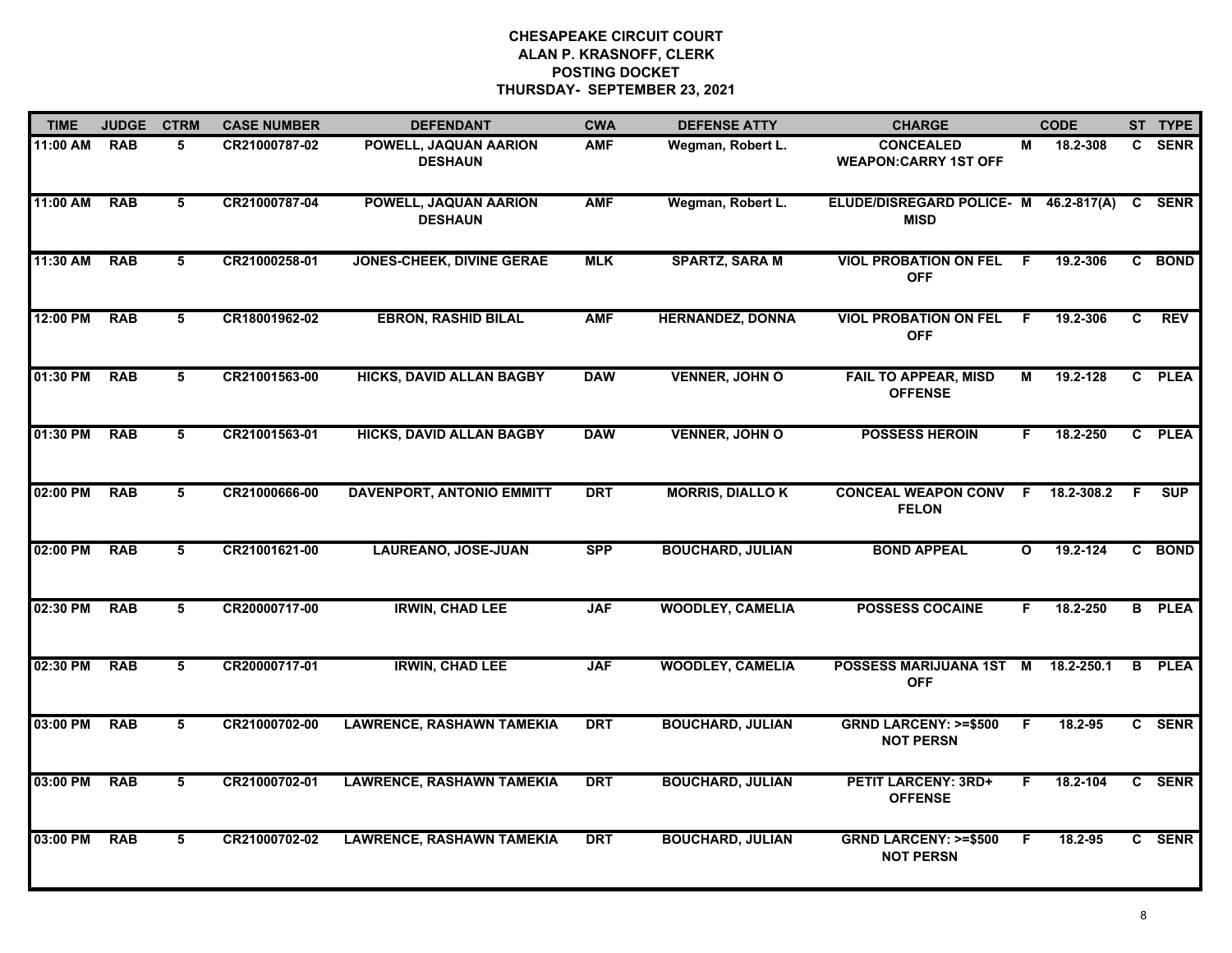| <b>TIME</b> | <b>JUDGE</b> | <b>CTRM</b> | <b>CASE NUMBER</b> | <b>DEFENDANT</b>                        | <b>CWA</b> | <b>DEFENSE ATTY</b>     | <b>CHARGE</b>                                        |              | <b>CODE</b> |    | ST TYPE       |
|-------------|--------------|-------------|--------------------|-----------------------------------------|------------|-------------------------|------------------------------------------------------|--------------|-------------|----|---------------|
| 11:00 AM    | <b>RAB</b>   | 5           | CR21000787-02      | POWELL, JAQUAN AARION<br><b>DESHAUN</b> | <b>AMF</b> | Wegman, Robert L.       | <b>CONCEALED</b><br><b>WEAPON:CARRY 1ST OFF</b>      | М            | 18.2-308    |    | C SENR        |
| 11:00 AM    | <b>RAB</b>   | 5           | CR21000787-04      | POWELL, JAQUAN AARION<br><b>DESHAUN</b> | <b>AMF</b> | Wegman, Robert L.       | ELUDE/DISREGARD POLICE- M 46.2-817(A)<br><b>MISD</b> |              |             |    | C SENR        |
| 11:30 AM    | <b>RAB</b>   | 5           | CR21000258-01      | <b>JONES-CHEEK, DIVINE GERAE</b>        | <b>MLK</b> | <b>SPARTZ, SARA M</b>   | <b>VIOL PROBATION ON FEL</b><br><b>OFF</b>           | - F          | 19.2-306    |    | C BOND        |
| 12:00 PM    | <b>RAB</b>   | 5           | CR18001962-02      | <b>EBRON, RASHID BILAL</b>              | <b>AMF</b> | <b>HERNANDEZ, DONNA</b> | <b>VIOL PROBATION ON FEL</b><br><b>OFF</b>           | - F          | 19.2-306    | C  | <b>REV</b>    |
| 01:30 PM    | <b>RAB</b>   | 5           | CR21001563-00      | <b>HICKS, DAVID ALLAN BAGBY</b>         | <b>DAW</b> | <b>VENNER, JOHN O</b>   | <b>FAIL TO APPEAR, MISD</b><br><b>OFFENSE</b>        | М            | 19.2-128    |    | C PLEA        |
| 01:30 PM    | <b>RAB</b>   | 5           | CR21001563-01      | <b>HICKS, DAVID ALLAN BAGBY</b>         | <b>DAW</b> | <b>VENNER, JOHN O</b>   | <b>POSSESS HEROIN</b>                                | F.           | 18.2-250    |    | C PLEA        |
| 02:00 PM    | <b>RAB</b>   | 5           | CR21000666-00      | <b>DAVENPORT, ANTONIO EMMITT</b>        | <b>DRT</b> | <b>MORRIS, DIALLOK</b>  | <b>CONCEAL WEAPON CONV F</b><br><b>FELON</b>         |              | 18.2-308.2  | F. | <b>SUP</b>    |
| 02:00 PM    | <b>RAB</b>   | 5           | CR21001621-00      | <b>LAUREANO, JOSE-JUAN</b>              | <b>SPP</b> | <b>BOUCHARD, JULIAN</b> | <b>BOND APPEAL</b>                                   | $\mathbf{o}$ | 19.2-124    |    | C BOND        |
| 02:30 PM    | <b>RAB</b>   | 5           | CR20000717-00      | <b>IRWIN, CHAD LEE</b>                  | <b>JAF</b> | <b>WOODLEY, CAMELIA</b> | <b>POSSESS COCAINE</b>                               | F.           | 18.2-250    |    | <b>B</b> PLEA |
| 02:30 PM    | <b>RAB</b>   | 5           | CR20000717-01      | <b>IRWIN, CHAD LEE</b>                  | <b>JAF</b> | <b>WOODLEY, CAMELIA</b> | POSSESS MARIJUANA 1ST M<br><b>OFF</b>                |              | 18.2-250.1  |    | <b>B</b> PLEA |
| 03:00 PM    | <b>RAB</b>   | 5           | CR21000702-00      | <b>LAWRENCE, RASHAWN TAMEKIA</b>        | <b>DRT</b> | <b>BOUCHARD, JULIAN</b> | <b>GRND LARCENY: &gt;=\$500</b><br><b>NOT PERSN</b>  | F.           | 18.2-95     |    | C SENR        |
| 03:00 PM    | <b>RAB</b>   | 5           | CR21000702-01      | <b>LAWRENCE, RASHAWN TAMEKIA</b>        | <b>DRT</b> | <b>BOUCHARD, JULIAN</b> | <b>PETIT LARCENY: 3RD+</b><br><b>OFFENSE</b>         | F.           | 18.2-104    |    | C SENR        |
| 03:00 PM    | <b>RAB</b>   | 5           | CR21000702-02      | <b>LAWRENCE, RASHAWN TAMEKIA</b>        | <b>DRT</b> | <b>BOUCHARD, JULIAN</b> | <b>GRND LARCENY: &gt;=\$500</b><br><b>NOT PERSN</b>  | F            | 18.2-95     |    | C SENR        |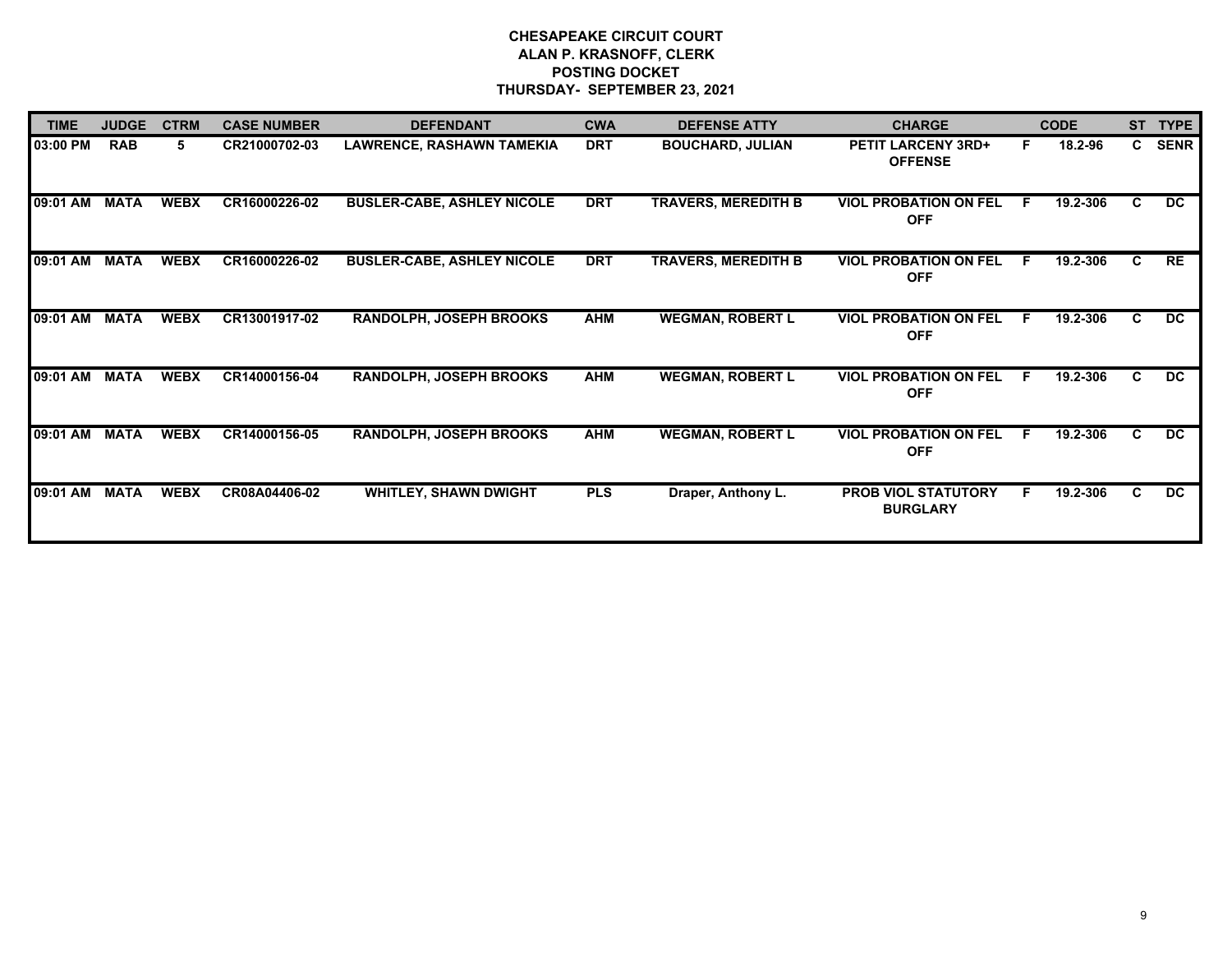| <b>TIME</b> | <b>JUDGE</b> | <b>CTRM</b> | <b>CASE NUMBER</b> | <b>DEFENDANT</b>                  | <b>CWA</b> | <b>DEFENSE ATTY</b>        | <b>CHARGE</b>                                 |    | <b>CODE</b> | <b>ST</b>    | <b>TYPE</b> |
|-------------|--------------|-------------|--------------------|-----------------------------------|------------|----------------------------|-----------------------------------------------|----|-------------|--------------|-------------|
| 03:00 PM    | <b>RAB</b>   | 5.          | CR21000702-03      | <b>LAWRENCE, RASHAWN TAMEKIA</b>  | <b>DRT</b> | <b>BOUCHARD, JULIAN</b>    | <b>PETIT LARCENY 3RD+</b><br><b>OFFENSE</b>   | F. | 18.2-96     | $\mathbf{c}$ | <b>SENR</b> |
| 09:01 AM    | <b>MATA</b>  | <b>WEBX</b> | CR16000226-02      | <b>BUSLER-CABE, ASHLEY NICOLE</b> | <b>DRT</b> | <b>TRAVERS, MEREDITH B</b> | <b>VIOL PROBATION ON FEL</b><br><b>OFF</b>    | .F | 19.2-306    | C.           | DC          |
| 09:01 AM    | <b>MATA</b>  | <b>WEBX</b> | CR16000226-02      | <b>BUSLER-CABE, ASHLEY NICOLE</b> | <b>DRT</b> | <b>TRAVERS, MEREDITH B</b> | <b>VIOL PROBATION ON FEL</b><br><b>OFF</b>    | E  | 19.2-306    | C.           | RE          |
| 09:01 AM    | <b>MATA</b>  | <b>WEBX</b> | CR13001917-02      | RANDOLPH, JOSEPH BROOKS           | <b>AHM</b> | <b>WEGMAN, ROBERT L</b>    | <b>VIOL PROBATION ON FEL</b><br><b>OFF</b>    | E  | 19.2-306    | C.           | DC.         |
| 09:01 AM    | <b>MATA</b>  | <b>WEBX</b> | CR14000156-04      | RANDOLPH, JOSEPH BROOKS           | <b>AHM</b> | <b>WEGMAN, ROBERT L</b>    | <b>VIOL PROBATION ON FEL</b><br><b>OFF</b>    | E  | 19.2-306    | C.           | DC.         |
| 09:01 AM    | <b>MATA</b>  | <b>WEBX</b> | CR14000156-05      | <b>RANDOLPH, JOSEPH BROOKS</b>    | <b>AHM</b> | <b>WEGMAN, ROBERT L</b>    | <b>VIOL PROBATION ON FEL</b><br><b>OFF</b>    | E  | 19.2-306    | C.           | DC.         |
| 09:01 AM    | <b>MATA</b>  | <b>WEBX</b> | CR08A04406-02      | <b>WHITLEY, SHAWN DWIGHT</b>      | <b>PLS</b> | Draper, Anthony L.         | <b>PROB VIOL STATUTORY</b><br><b>BURGLARY</b> | F. | 19.2-306    | C.           | DC.         |